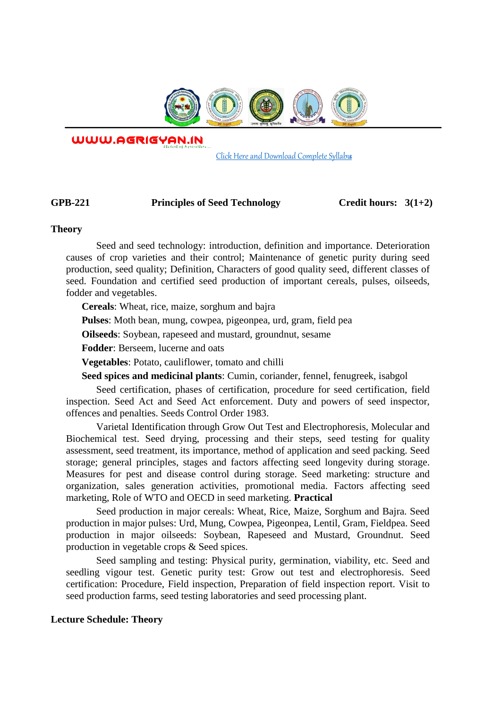

WWW.AGRIGYAN.IN

[Click Here and Download Complete Syllabus](http://agrigyan.in/)

## GPB-221 Principles of Seed Technology Credit hours:  $3(1+2)$

#### **Theory**

 $\overline{a}$ 

Seed and seed technology: introduction, definition and importance. Deterioration causes of crop varieties and their control; Maintenance of genetic purity during seed production, seed quality; Definition, Characters of good quality seed, different classes of seed. Foundation and certified seed production of important cereals, pulses, oilseeds, fodder and vegetables.

**Cereals**: Wheat, rice, maize, sorghum and bajra

**Pulses**: Moth bean, mung, cowpea, pigeonpea, urd, gram, field pea

**Oilseeds**: Soybean, rapeseed and mustard, groundnut, sesame

**Fodder**: Berseem, lucerne and oats

**Vegetables**: Potato, cauliflower, tomato and chilli

**Seed spices and medicinal plants**: Cumin, coriander, fennel, fenugreek, isabgol

Seed certification, phases of certification, procedure for seed certification, field inspection. Seed Act and Seed Act enforcement. Duty and powers of seed inspector, offences and penalties. Seeds Control Order 1983.

Varietal Identification through Grow Out Test and Electrophoresis, Molecular and Biochemical test. Seed drying, processing and their steps, seed testing for quality assessment, seed treatment, its importance, method of application and seed packing. Seed storage; general principles, stages and factors affecting seed longevity during storage. Measures for pest and disease control during storage. Seed marketing: structure and organization, sales generation activities, promotional media. Factors affecting seed marketing, Role of WTO and OECD in seed marketing. **Practical** 

Seed production in major cereals: Wheat, Rice, Maize, Sorghum and Bajra. Seed production in major pulses: Urd, Mung, Cowpea, Pigeonpea, Lentil, Gram, Fieldpea. Seed production in major oilseeds: Soybean, Rapeseed and Mustard, Groundnut. Seed production in vegetable crops & Seed spices.

Seed sampling and testing: Physical purity, germination, viability, etc. Seed and seedling vigour test. Genetic purity test: Grow out test and electrophoresis. Seed certification: Procedure, Field inspection, Preparation of field inspection report. Visit to seed production farms, seed testing laboratories and seed processing plant.

### **Lecture Schedule: Theory**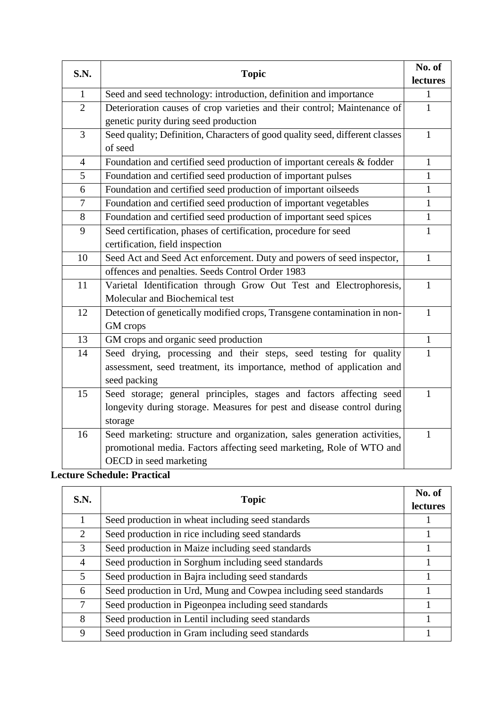| S.N.           | <b>Topic</b>                                                                 | No. of       |
|----------------|------------------------------------------------------------------------------|--------------|
|                |                                                                              | lectures     |
| $\mathbf{1}$   | Seed and seed technology: introduction, definition and importance            | $\mathbf{1}$ |
| $\overline{2}$ | Deterioration causes of crop varieties and their control; Maintenance of     | $\mathbf{1}$ |
|                | genetic purity during seed production                                        |              |
| 3              | Seed quality; Definition, Characters of good quality seed, different classes | $\mathbf{1}$ |
|                | of seed                                                                      |              |
| $\overline{4}$ | Foundation and certified seed production of important cereals & fodder       | $\mathbf{1}$ |
| 5              | Foundation and certified seed production of important pulses                 | $\mathbf{1}$ |
| 6              | Foundation and certified seed production of important oilseeds               | $\mathbf{1}$ |
| $\tau$         | Foundation and certified seed production of important vegetables             | $\mathbf{1}$ |
| 8              | Foundation and certified seed production of important seed spices            | $\mathbf{1}$ |
| 9              | Seed certification, phases of certification, procedure for seed              | $\mathbf{1}$ |
|                | certification, field inspection                                              |              |
| 10             | Seed Act and Seed Act enforcement. Duty and powers of seed inspector,        | $\mathbf{1}$ |
|                | offences and penalties. Seeds Control Order 1983                             |              |
| 11             | Varietal Identification through Grow Out Test and Electrophoresis,           | $\mathbf{1}$ |
|                | Molecular and Biochemical test                                               |              |
| 12             | Detection of genetically modified crops, Transgene contamination in non-     | $\mathbf{1}$ |
|                | GM crops                                                                     |              |
| 13             | GM crops and organic seed production                                         | $\mathbf{1}$ |
| 14             | Seed drying, processing and their steps, seed testing for quality            | $\mathbf{1}$ |
|                | assessment, seed treatment, its importance, method of application and        |              |
|                | seed packing                                                                 |              |
| 15             | Seed storage; general principles, stages and factors affecting seed          | $\mathbf{1}$ |
|                | longevity during storage. Measures for pest and disease control during       |              |
|                | storage                                                                      |              |
| 16             | Seed marketing: structure and organization, sales generation activities,     | $\mathbf{1}$ |
|                | promotional media. Factors affecting seed marketing, Role of WTO and         |              |
|                | OECD in seed marketing                                                       |              |

# **Lecture Schedule: Practical**

| S.N. | <b>Topic</b>                                                     | No. of<br>lectures |
|------|------------------------------------------------------------------|--------------------|
|      | Seed production in wheat including seed standards                |                    |
| 2    | Seed production in rice including seed standards                 |                    |
| 3    | Seed production in Maize including seed standards                |                    |
| 4    | Seed production in Sorghum including seed standards              |                    |
| 5    | Seed production in Bajra including seed standards                |                    |
| 6    | Seed production in Urd, Mung and Cowpea including seed standards |                    |
| 7    | Seed production in Pigeonpea including seed standards            |                    |
| 8    | Seed production in Lentil including seed standards               |                    |
| 9    | Seed production in Gram including seed standards                 |                    |